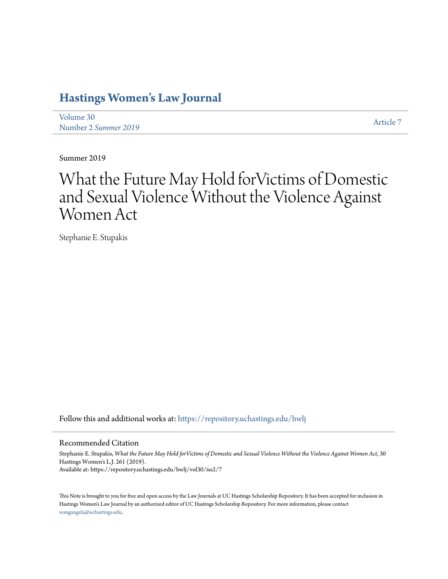# **[Hastings Women's Law Journal](https://repository.uchastings.edu/hwlj?utm_source=repository.uchastings.edu%2Fhwlj%2Fvol30%2Fiss2%2F7&utm_medium=PDF&utm_campaign=PDFCoverPages)**

[Volume 30](https://repository.uchastings.edu/hwlj/vol30?utm_source=repository.uchastings.edu%2Fhwlj%2Fvol30%2Fiss2%2F7&utm_medium=PDF&utm_campaign=PDFCoverPages) Number 2 *[Summer 2019](https://repository.uchastings.edu/hwlj/vol30/iss2?utm_source=repository.uchastings.edu%2Fhwlj%2Fvol30%2Fiss2%2F7&utm_medium=PDF&utm_campaign=PDFCoverPages)* [Article 7](https://repository.uchastings.edu/hwlj/vol30/iss2/7?utm_source=repository.uchastings.edu%2Fhwlj%2Fvol30%2Fiss2%2F7&utm_medium=PDF&utm_campaign=PDFCoverPages)

Summer 2019

# What the Future May Hold forVictims of Domestic and Sexual Violence Without the Violence Against Women Act

Stephanie E. Stupakis

Follow this and additional works at: [https://repository.uchastings.edu/hwlj](https://repository.uchastings.edu/hwlj?utm_source=repository.uchastings.edu%2Fhwlj%2Fvol30%2Fiss2%2F7&utm_medium=PDF&utm_campaign=PDFCoverPages)

# Recommended Citation

Stephanie E. Stupakis, *What the Future May Hold forVictims of Domestic and Sexual Violence Without the Violence Against Women Act*, 30 Hastings Women's L.J. 261 (2019). Available at: https://repository.uchastings.edu/hwlj/vol30/iss2/7

This Note is brought to you for free and open access by the Law Journals at UC Hastings Scholarship Repository. It has been accepted for inclusion in Hastings Women's Law Journal by an authorized editor of UC Hastings Scholarship Repository. For more information, please contact [wangangela@uchastings.edu](mailto:wangangela@uchastings.edu).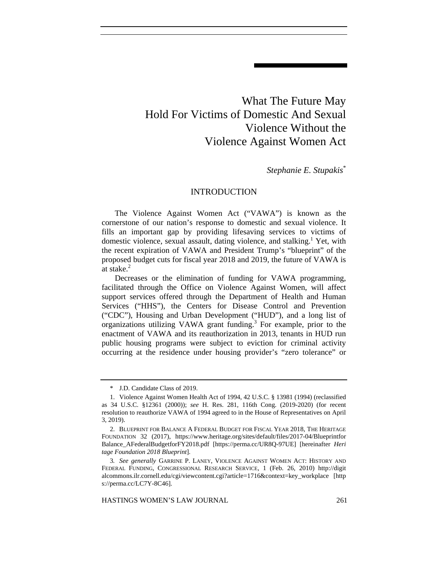What The Future May Hold For Victims of Domestic And Sexual Violence Without the Violence Against Women Act

*Stephanie E. Stupakis*\*

#### INTRODUCTION

The Violence Against Women Act ("VAWA") is known as the cornerstone of our nation's response to domestic and sexual violence. It fills an important gap by providing lifesaving services to victims of domestic violence, sexual assault, dating violence, and stalking.<sup>1</sup> Yet, with the recent expiration of VAWA and President Trump's "blueprint" of the proposed budget cuts for fiscal year 2018 and 2019, the future of VAWA is at stake.<sup>2</sup>

Decreases or the elimination of funding for VAWA programming, facilitated through the Office on Violence Against Women, will affect support services offered through the Department of Health and Human Services ("HHS"), the Centers for Disease Control and Prevention ("CDC"), Housing and Urban Development ("HUD"), and a long list of organizations utilizing VAWA grant funding.<sup>3</sup> For example, prior to the enactment of VAWA and its reauthorization in 2013, tenants in HUD run public housing programs were subject to eviction for criminal activity occurring at the residence under housing provider's "zero tolerance" or

 <sup>\*</sup> J.D. Candidate Class of 2019.

 <sup>1.</sup> Violence Against Women Health Act of 1994, 42 U.S.C. § 13981 (1994) (reclassified as 34 U.S.C. §12361 (2000)); *see* H. Res. 281, 116th Cong. (2019-2020) (for recent resolution to reauthorize VAWA of 1994 agreed to in the House of Representatives on April 3, 2019).

 <sup>2.</sup> BLUEPRINT FOR BALANCE A FEDERAL BUDGET FOR FISCAL YEAR 2018*,* THE HERITAGE FOUNDATION 32 (2017), https://www.heritage.org/sites/default/files/2017-04/Blueprintfor Balance\_AFederalBudgetforFY2018.pdf [https://perma.cc/UR8Q-97UE] [hereinafter *Heri tage Foundation 2018 Blueprint*].

<sup>3</sup>*. See generally* GARRINE P. LANEY, VIOLENCE AGAINST WOMEN ACT: HISTORY AND FEDERAL FUNDING, CONGRESSIONAL RESEARCH SERVICE, 1 (Feb. 26, 2010) http://digit alcommons.ilr.cornell.edu/cgi/viewcontent.cgi?article=1716&context=key\_workplace [http s://perma.cc/LC7Y-8C46].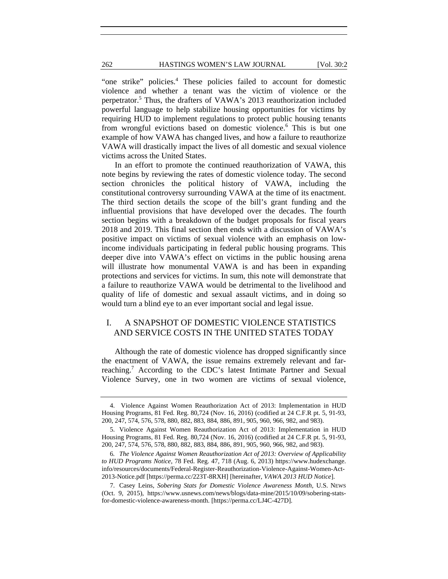"one strike" policies.<sup>4</sup> These policies failed to account for domestic violence and whether a tenant was the victim of violence or the perpetrator.<sup>5</sup> Thus, the drafters of VAWA's 2013 reauthorization included powerful language to help stabilize housing opportunities for victims by requiring HUD to implement regulations to protect public housing tenants from wrongful evictions based on domestic violence.<sup>6</sup> This is but one example of how VAWA has changed lives, and how a failure to reauthorize VAWA will drastically impact the lives of all domestic and sexual violence victims across the United States.

In an effort to promote the continued reauthorization of VAWA, this note begins by reviewing the rates of domestic violence today. The second section chronicles the political history of VAWA, including the constitutional controversy surrounding VAWA at the time of its enactment. The third section details the scope of the bill's grant funding and the influential provisions that have developed over the decades. The fourth section begins with a breakdown of the budget proposals for fiscal years 2018 and 2019. This final section then ends with a discussion of VAWA's positive impact on victims of sexual violence with an emphasis on lowincome individuals participating in federal public housing programs. This deeper dive into VAWA's effect on victims in the public housing arena will illustrate how monumental VAWA is and has been in expanding protections and services for victims. In sum, this note will demonstrate that a failure to reauthorize VAWA would be detrimental to the livelihood and quality of life of domestic and sexual assault victims, and in doing so would turn a blind eye to an ever important social and legal issue.

# I. A SNAPSHOT OF DOMESTIC VIOLENCE STATISTICS AND SERVICE COSTS IN THE UNITED STATES TODAY

Although the rate of domestic violence has dropped significantly since the enactment of VAWA, the issue remains extremely relevant and farreaching.<sup>7</sup> According to the CDC's latest Intimate Partner and Sexual Violence Survey, one in two women are victims of sexual violence,

 <sup>4.</sup> Violence Against Women Reauthorization Act of 2013: Implementation in HUD Housing Programs, 81 Fed. Reg. 80,724 (Nov. 16, 2016) (codified at 24 C.F.R pt. 5, 91-93, 200, 247, 574, 576, 578, 880, 882, 883, 884, 886, 891, 905, 960, 966, 982, and 983).

 <sup>5.</sup> Violence Against Women Reauthorization Act of 2013: Implementation in HUD Housing Programs, 81 Fed. Reg. 80,724 (Nov. 16, 2016) (codified at 24 C.F.R pt. 5, 91-93, 200, 247, 574, 576, 578, 880, 882, 883, 884, 886, 891, 905, 960, 966, 982, and 983).

<sup>6</sup>*. The Violence Against Women Reauthorization Act of 2013: Overview of Applicability to HUD Programs Notice*, 78 Fed. Reg. 47, 718 (Aug. 6, 2013) https://www.hudexchange. info/resources/documents/Federal-Register-Reauthorization-Violence-Against-Women-Act-2013-Notice.pdf [https://perma.cc/223T-8RXH] [hereinafter, *VAWA 2013 HUD Notice*].

 <sup>7.</sup> Casey Leins, *Sobering Stats for Domestic Violence Awareness Month*, U.S. NEWS (Oct. 9, 2015), https://www.usnews.com/news/blogs/data-mine/2015/10/09/sobering-statsfor-domestic-violence-awareness-month. [https://perma.cc/LJ4C-427D].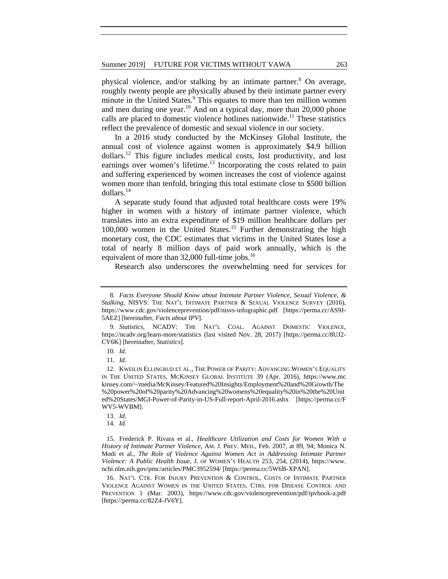physical violence, and/or stalking by an intimate partner.<sup>8</sup> On average, roughly twenty people are physically abused by their intimate partner every minute in the United States.<sup>9</sup> This equates to more than ten million women and men during one year.<sup>10</sup> And on a typical day, more than  $20,000$  phone calls are placed to domestic violence hotlines nationwide.<sup>11</sup> These statistics reflect the prevalence of domestic and sexual violence in our society.

In a 2016 study conducted by the McKinsey Global Institute, the annual cost of violence against women is approximately \$4.9 billion  $dollars.12$  This figure includes medical costs, lost productivity, and lost earnings over women's lifetime.<sup>13</sup> Incorporating the costs related to pain and suffering experienced by women increases the cost of violence against women more than tenfold, bringing this total estimate close to \$500 billion dollars.<sup>14</sup>

A separate study found that adjusted total healthcare costs were 19% higher in women with a history of intimate partner violence, which translates into an extra expenditure of \$19 million healthcare dollars per 100,000 women in the United States.<sup>15</sup> Further demonstrating the high monetary cost, the CDC estimates that victims in the United States lose a total of nearly 8 million days of paid work annually, which is the equivalent of more than  $32,000$  full-time jobs.<sup>16</sup>

Research also underscores the overwhelming need for services for

<sup>8</sup>*. Facts Everyone Should Know about Intimate Partner Violence, Sexual Violence, & Stalking,* NISVS: THE NAT'L INTIMATE PARTNER & SEXUAL VIOLENCE SURVEY (2016), https://www.cdc.gov/violenceprevention/pdf/nisvs-infographic.pdf [https://perma.cc/AS9J-5AEZ] [hereinafter, *Facts about IPV*].

<sup>9</sup>*. Statistics*, NCADV: THE NAT'L COAL. AGAINST DOMESTIC VIOLENCE, https://ncadv.org/learn-more/statistics (last visited Nov. 28, 2017) [https://perma.cc/8UJ2- CV6K] [hereinafter, *Statistics*].

<sup>10</sup>*. Id.*

<sup>11</sup>*. Id.* 

 <sup>12.</sup> KWEILIN ELLINGRUD ET AL., THE POWER OF PARITY: ADVANCING WOMEN'S EQUALITY IN THE UNITED STATES, MCKINSEY GLOBAL INSTITUTE 39 (Apr. 2016), https://www.mc kinsey.com/~/media/McKinsey/Featured%20Insights/Employment%20and%20Growth/The %20power%20of%20parity%20Advancing%20womens%20equality%20in%20the%20Unit ed%20States/MGI-Power-of-Parity-in-US-Full-report-April-2016.ashx [https://perma.cc/F WV5-WVBM].

<sup>13</sup>*. Id.*

<sup>14</sup>*. Id.*

 <sup>15.</sup> Frederick P. Rivara et al., *Healthcare Utilization and Costs for Women With a History of Intimate Partner Violence*, AM. J. PREV. MED., Feb. 2007, at 89, 94; Monica N. Modi et al., *The Role of Violence Against Women Act in Addressing Intimate Partner Violence: A Public Health Issue*, J. OF WOMEN'S HEALTH 253, 254, (2014), https://www. ncbi.nlm.nih.gov/pmc/articles/PMC3952594/ [https://perma.cc/5W6B-XPAN].

 <sup>16.</sup> NAT'L CTR. FOR INJURY PREVENTION & CONTROL, COSTS OF INTIMATE PARTNER VIOLENCE AGAINST WOMEN IN THE UNITED STATES, CTRS. FOR DISEASE CONTROL AND PREVENTION 1 (Mar. 2003), https://www.cdc.gov/violenceprevention/pdf/ipvbook-a.pdf [https://perma.cc/82Z4-JV6Y].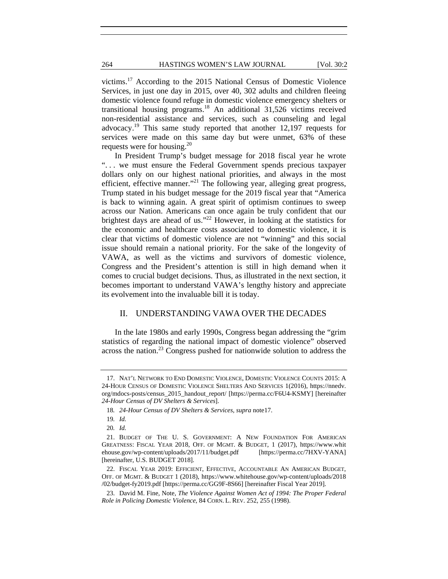victims.17 According to the 2015 National Census of Domestic Violence Services, in just one day in 2015, over 40, 302 adults and children fleeing domestic violence found refuge in domestic violence emergency shelters or transitional housing programs.<sup>18</sup> An additional  $31,526$  victims received non-residential assistance and services, such as counseling and legal advocacy.19 This same study reported that another 12,197 requests for services were made on this same day but were unmet, 63% of these requests were for housing.<sup>20</sup>

In President Trump's budget message for 2018 fiscal year he wrote ". . . we must ensure the Federal Government spends precious taxpayer dollars only on our highest national priorities, and always in the most efficient, effective manner."<sup>21</sup> The following year, alleging great progress, Trump stated in his budget message for the 2019 fiscal year that "America is back to winning again. A great spirit of optimism continues to sweep across our Nation. Americans can once again be truly confident that our brightest days are ahead of us."<sup>22</sup> However, in looking at the statistics for the economic and healthcare costs associated to domestic violence, it is clear that victims of domestic violence are not "winning" and this social issue should remain a national priority. For the sake of the longevity of VAWA, as well as the victims and survivors of domestic violence, Congress and the President's attention is still in high demand when it comes to crucial budget decisions. Thus, as illustrated in the next section, it becomes important to understand VAWA's lengthy history and appreciate its evolvement into the invaluable bill it is today.

# II. UNDERSTANDING VAWA OVER THE DECADES

In the late 1980s and early 1990s, Congress began addressing the "grim statistics of regarding the national impact of domestic violence" observed across the nation. $^{23}$  Congress pushed for nationwide solution to address the

 <sup>17.</sup> NAT'L NETWORK TO END DOMESTIC VIOLENCE, DOMESTIC VIOLENCE COUNTS 2015: A 24-HOUR CENSUS OF DOMESTIC VIOLENCE SHELTERS AND SERVICES 1(2016), https://nnedv. org/mdocs-posts/census\_2015\_handout\_report/ [https://perma.cc/F6U4-KSMY] [hereinafter *24-Hour Census of DV Shelters & Services*].

<sup>18</sup>*. 24-Hour Census of DV Shelters & Services, supra* note17.

<sup>19</sup>*. Id.*

<sup>20</sup>*. Id.*

 <sup>21.</sup> BUDGET OF THE U. S. GOVERNMENT: A NEW FOUNDATION FOR AMERICAN GREATNESS: FISCAL YEAR 2018, OFF. OF MGMT. & BUDGET, 1 (2017), https://www.whit ehouse.gov/wp-content/uploads/2017/11/budget.pdf [https://perma.cc/7HXV-YANA] [hereinafter, U.S. BUDGET 2018].

 <sup>22.</sup> FISCAL YEAR 2019: EFFICIENT, EFFECTIVE, ACCOUNTABLE AN AMERICAN BUDGET, OFF. OF MGMT. & BUDGET 1 (2018), https://www.whitehouse.gov/wp-content/uploads/2018 /02/budget-fy2019.pdf [https://perma.cc/GG9F-8S66] [hereinafter Fiscal Year 2019].

 <sup>23.</sup> David M. Fine, Note, *The Violence Against Women Act of 1994: The Proper Federal Role in Policing Domestic Violence*, 84 CORN. L. REV. 252, 255 (1998).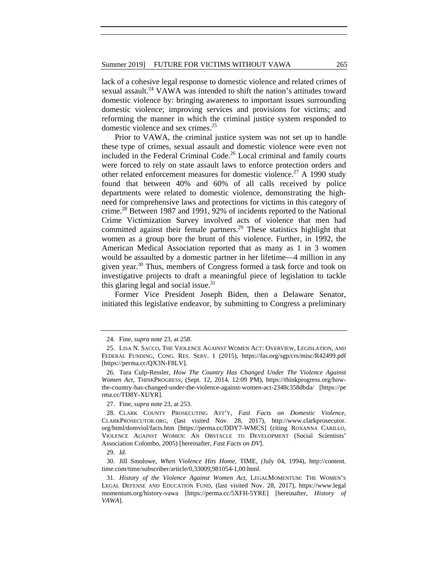lack of a cohesive legal response to domestic violence and related crimes of sexual assault.<sup>24</sup> VAWA was intended to shift the nation's attitudes toward domestic violence by: bringing awareness to important issues surrounding domestic violence; improving services and provisions for victims; and reforming the manner in which the criminal justice system responded to domestic violence and sex crimes.<sup>25</sup>

Prior to VAWA, the criminal justice system was not set up to handle these type of crimes, sexual assault and domestic violence were even not included in the Federal Criminal Code.<sup>26</sup> Local criminal and family courts were forced to rely on state assault laws to enforce protection orders and other related enforcement measures for domestic violence.<sup>27</sup> A 1990 study found that between 40% and 60% of all calls received by police departments were related to domestic violence, demonstrating the highneed for comprehensive laws and protections for victims in this category of crime.28 Between 1987 and 1991, 92% of incidents reported to the National Crime Victimization Survey involved acts of violence that men had committed against their female partners.<sup>29</sup> These statistics highlight that women as a group bore the brunt of this violence. Further, in 1992, the American Medical Association reported that as many as 1 in 3 women would be assaulted by a domestic partner in her lifetime—4 million in any given year.<sup>30</sup> Thus, members of Congress formed a task force and took on investigative projects to draft a meaningful piece of legislation to tackle this glaring legal and social issue. $31$ 

Former Vice President Joseph Biden, then a Delaware Senator, initiated this legislative endeavor, by submitting to Congress a preliminary

27. Fine, *supra* note 23, at 253.

29*. Id.*

<sup>24</sup>*.* Fine, *supra* note 23, at 258.

 <sup>25.</sup> LISA N. SACCO, THE VIOLENCE AGAINST WOMEN ACT: OVERVIEW, LEGISLATION, AND FEDERAL FUNDING*,* CONG. RES. SERV. 1 (2015), https://fas.org/sgp/crs/misc/R42499.pdf [https://perma.cc/QX3N-F8LV].

 <sup>26.</sup> Tara Culp-Ressler, *How The Country Has Changed Under The Violence Against Women Act*, THINKPROGRESS, (Sept. 12, 2014, 12:09 PM), https://thinkprogress.org/howthe-country-has-changed-under-the-violence-against-women-act-2348c358dbda/ [https://pe rma.cc/TD8Y-XUYR].

 <sup>28.</sup> CLARK COUNTY PROSECUTING ATT'Y, *Fast Facts on Domestic Violence*, CLARKPROSECUTOR.ORG*,* (last visited Nov. 28, 2017), http://www.clarkprosecutor. org/html/domviol/facts.htm [https://perma.cc/DDY7-WMCS] (citing ROXANNA CARILLO, VIOLENCE AGAINST WOMEN: AN OBSTACLE TO DEVELOPMENT (Social Scientists' Association Colombo, 2005) [hereinafter, *Fast Facts on DV*].

 <sup>30.</sup> Jill Smolowe*, When Violence Hits Home,* TIME*, (*July 04, 1994), http://content. time.com/time/subscriber/article/0,33009,981054-1,00.html.

<sup>31</sup>*. History of the Violence Against Women Act*, LEGALMOMENTUM: THE WOMEN'S LEGAL DEFENSE AND EDUCATION FUND, (last visited Nov. 28, 2017), https://www.legal momentum.org/history-vawa [https://perma.cc/5XFH-5YRE] [hereinafter, *History of VAWA*].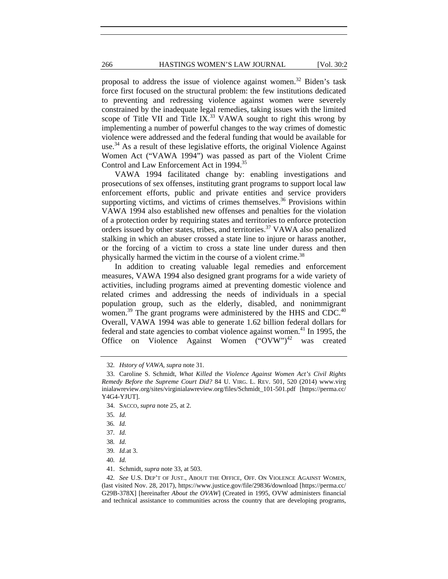proposal to address the issue of violence against women.<sup>32</sup> Biden's task force first focused on the structural problem: the few institutions dedicated to preventing and redressing violence against women were severely constrained by the inadequate legal remedies, taking issues with the limited scope of Title VII and Title IX.<sup>33</sup> VAWA sought to right this wrong by implementing a number of powerful changes to the way crimes of domestic violence were addressed and the federal funding that would be available for use.<sup>34</sup> As a result of these legislative efforts, the original Violence Against Women Act ("VAWA 1994") was passed as part of the Violent Crime Control and Law Enforcement Act in 1994.<sup>35</sup>

VAWA 1994 facilitated change by: enabling investigations and prosecutions of sex offenses, instituting grant programs to support local law enforcement efforts, public and private entities and service providers supporting victims, and victims of crimes themselves.<sup>36</sup> Provisions within VAWA 1994 also established new offenses and penalties for the violation of a protection order by requiring states and territories to enforce protection orders issued by other states, tribes, and territories.<sup>37</sup> VAWA also penalized stalking in which an abuser crossed a state line to injure or harass another, or the forcing of a victim to cross a state line under duress and then physically harmed the victim in the course of a violent crime.<sup>38</sup>

In addition to creating valuable legal remedies and enforcement measures, VAWA 1994 also designed grant programs for a wide variety of activities, including programs aimed at preventing domestic violence and related crimes and addressing the needs of individuals in a special population group, such as the elderly, disabled, and nonimmigrant women.<sup>39</sup> The grant programs were administered by the HHS and CDC.<sup>40</sup> Overall, VAWA 1994 was able to generate 1.62 billion federal dollars for federal and state agencies to combat violence against women.<sup>41</sup> In 1995, the Office on Violence Against Women  $("OVW")<sup>42</sup>$  was created

<sup>32</sup>*. Hstory of VAWA*, *supra* note 31.

 <sup>33.</sup> Caroline S. Schmidt, *What Killed the Violence Against Women Act's Civil Rights Remedy Before the Supreme Court Did?* 84 U. VIRG. L. REV. 501, 520 (2014) www.virg inialawreview.org/sites/virginialawreview.org/files/Schmidt\_101-501.pdf [https://perma.cc/ Y4G4-YJUT].

 <sup>34.</sup> SACCO, *supra* note 25, at 2.

<sup>35</sup>*. Id.*

<sup>36</sup>*. Id.*

<sup>37</sup>*. Id.*

<sup>38</sup>*. Id.*

<sup>39</sup>*. Id.*at 3.

<sup>40</sup>*. Id.*

 <sup>41.</sup> Schmidt, *supra* note 33, at 503.

<sup>42</sup>*. See* U.S. DEP'T OF JUST., ABOUT THE OFFICE*,* OFF. ON VIOLENCE AGAINST WOMEN, (last visited Nov. 28, 2017), https://www.justice.gov/file/29836/download [https://perma.cc/ G29B-378X] [hereinafter *About the OVAW*] (Created in 1995, OVW administers financial and technical assistance to communities across the country that are developing programs,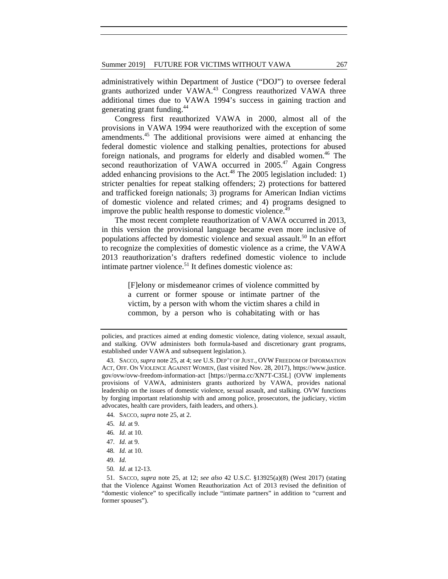administratively within Department of Justice ("DOJ") to oversee federal grants authorized under VAWA.<sup>43</sup> Congress reauthorized VAWA three additional times due to VAWA 1994's success in gaining traction and generating grant funding.44

Congress first reauthorized VAWA in 2000, almost all of the provisions in VAWA 1994 were reauthorized with the exception of some amendments.45 The additional provisions were aimed at enhancing the federal domestic violence and stalking penalties, protections for abused foreign nationals, and programs for elderly and disabled women.<sup>46</sup> The second reauthorization of VAWA occurred in 2005.<sup>47</sup> Again Congress added enhancing provisions to the Act. $48$  The 2005 legislation included: 1) stricter penalties for repeat stalking offenders; 2) protections for battered and trafficked foreign nationals; 3) programs for American Indian victims of domestic violence and related crimes; and 4) programs designed to improve the public health response to domestic violence.<sup>49</sup>

The most recent complete reauthorization of VAWA occurred in 2013, in this version the provisional language became even more inclusive of populations affected by domestic violence and sexual assault.<sup>50</sup> In an effort to recognize the complexities of domestic violence as a crime, the VAWA 2013 reauthorization's drafters redefined domestic violence to include intimate partner violence. $51$  It defines domestic violence as:

> [F]elony or misdemeanor crimes of violence committed by a current or former spouse or intimate partner of the victim, by a person with whom the victim shares a child in common, by a person who is cohabitating with or has

- 44. SACCO, *supra* note 25, at 2.
- 45*. Id.* at 9.
- 46*. Id.* at 10.
- 47*. Id.* at 9.
- 48*. Id.* at 10.
- 49. *Id.*
- 50*. Id*. at 12-13.

policies, and practices aimed at ending domestic violence, dating violence, sexual assault, and stalking. OVW administers both formula-based and discretionary grant programs, established under VAWA and subsequent legislation.).

 <sup>43.</sup> SACCO, *supra* note 25, at 4; *see* U.S. DEP'T OF JUST., OVW FREEDOM OF INFORMATION ACT, OFF. ON VIOLENCE AGAINST WOMEN, (last visited Nov. 28, 2017), https://www.justice. gov/ovw/ovw-freedom-information-act [https://perma.cc/XN7T-C35L] (OVW implements provisions of VAWA, administers grants authorized by VAWA, provides national leadership on the issues of domestic violence, sexual assault, and stalking. OVW functions by forging important relationship with and among police, prosecutors, the judiciary, victim advocates, health care providers, faith leaders, and others.).

 <sup>51.</sup> SACCO, *supra* note 25, at 12; *see also* 42 U.S.C. §13925(a)(8) (West 2017) (stating that the Violence Against Women Reauthorization Act of 2013 revised the definition of "domestic violence" to specifically include "intimate partners" in addition to "current and former spouses").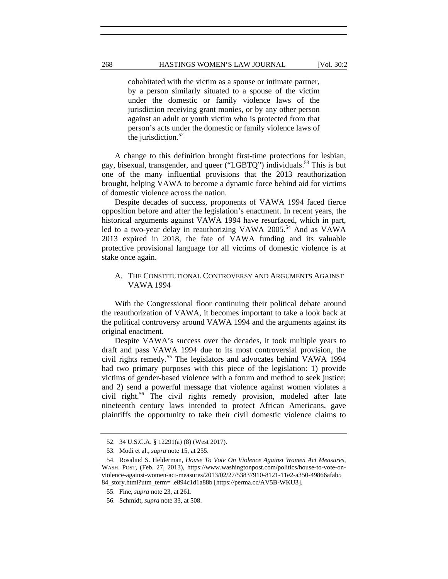cohabitated with the victim as a spouse or intimate partner, by a person similarly situated to a spouse of the victim under the domestic or family violence laws of the jurisdiction receiving grant monies, or by any other person against an adult or youth victim who is protected from that person's acts under the domestic or family violence laws of the jurisdiction. $52$ 

A change to this definition brought first-time protections for lesbian, gay, bisexual, transgender, and queer ("LGBTQ") individuals.<sup>53</sup> This is but one of the many influential provisions that the 2013 reauthorization brought, helping VAWA to become a dynamic force behind aid for victims of domestic violence across the nation.

Despite decades of success, proponents of VAWA 1994 faced fierce opposition before and after the legislation's enactment. In recent years, the historical arguments against VAWA 1994 have resurfaced, which in part, led to a two-year delay in reauthorizing VAWA 2005.<sup>54</sup> And as VAWA 2013 expired in 2018, the fate of VAWA funding and its valuable protective provisional language for all victims of domestic violence is at stake once again.

### A. THE CONSTITUTIONAL CONTROVERSY AND ARGUMENTS AGAINST VAWA 1994

With the Congressional floor continuing their political debate around the reauthorization of VAWA, it becomes important to take a look back at the political controversy around VAWA 1994 and the arguments against its original enactment.

Despite VAWA's success over the decades, it took multiple years to draft and pass VAWA 1994 due to its most controversial provision, the civil rights remedy.<sup>55</sup> The legislators and advocates behind VAWA 1994 had two primary purposes with this piece of the legislation: 1) provide victims of gender-based violence with a forum and method to seek justice; and 2) send a powerful message that violence against women violates a civil right.<sup>56</sup> The civil rights remedy provision, modeled after late nineteenth century laws intended to protect African Americans, gave plaintiffs the opportunity to take their civil domestic violence claims to

 <sup>52. 34</sup> U.S.C.A. § 12291(a) (8) (West 2017).

 <sup>53.</sup> Modi et al., *supra* note 15, at 255.

 <sup>54.</sup> Rosalind S. Helderman, *House To Vote On Violence Against Women Act Measures*, WASH. POST, (Feb. 27, 2013), https://www.washingtonpost.com/politics/house-to-vote-onviolence-against-women-act-measures/2013/02/27/53837910-8121-11e2-a350-49866afab5 84\_story.html?utm\_term= .e894c1d1a88b [https://perma.cc/AV5B-WKU3].

 <sup>55.</sup> Fine, *supra* note 23, at 261.

 <sup>56.</sup> Schmidt, *supra* note 33, at 508.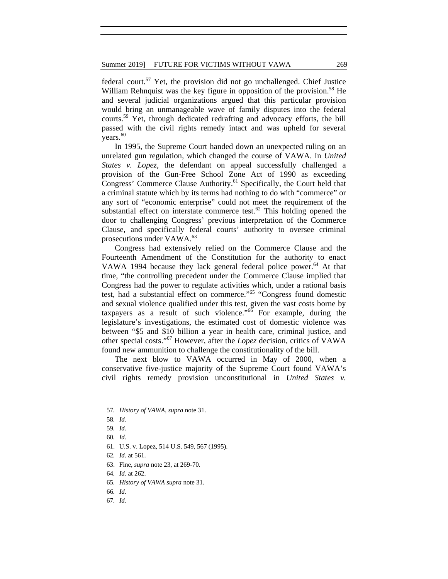federal court.<sup>57</sup> Yet, the provision did not go unchallenged. Chief Justice William Rehnquist was the key figure in opposition of the provision.<sup>58</sup> He and several judicial organizations argued that this particular provision would bring an unmanageable wave of family disputes into the federal courts.59 Yet, through dedicated redrafting and advocacy efforts, the bill passed with the civil rights remedy intact and was upheld for several years.<sup>60</sup>

In 1995, the Supreme Court handed down an unexpected ruling on an unrelated gun regulation*,* which changed the course of VAWA. In *United States v. Lopez*, the defendant on appeal successfully challenged a provision of the Gun-Free School Zone Act of 1990 as exceeding Congress' Commerce Clause Authority.<sup>61</sup> Specifically, the Court held that a criminal statute which by its terms had nothing to do with "commerce" or any sort of "economic enterprise" could not meet the requirement of the substantial effect on interstate commerce test.<sup>62</sup> This holding opened the door to challenging Congress' previous interpretation of the Commerce Clause, and specifically federal courts' authority to oversee criminal prosecutions under VAWA.<sup>63</sup>

Congress had extensively relied on the Commerce Clause and the Fourteenth Amendment of the Constitution for the authority to enact VAWA 1994 because they lack general federal police power.<sup>64</sup> At that time, "the controlling precedent under the Commerce Clause implied that Congress had the power to regulate activities which, under a rational basis test, had a substantial effect on commerce."65 "Congress found domestic and sexual violence qualified under this test, given the vast costs borne by taxpayers as a result of such violence."<sup>66</sup> For example, during the legislature's investigations, the estimated cost of domestic violence was between "\$5 and \$10 billion a year in health care, criminal justice, and other special costs."67 However, after the *Lopez* decision*,* critics of VAWA found new ammunition to challenge the constitutionality of the bill.

The next blow to VAWA occurred in May of 2000, when a conservative five-justice majority of the Supreme Court found VAWA's civil rights remedy provision unconstitutional in *United States v.* 

<sup>57</sup>*. History of VAWA, supra* note 31.

<sup>58</sup>*. Id.*

<sup>59</sup>*. Id.*

<sup>60</sup>*. Id.*

 <sup>61.</sup> U.S. v. Lopez, 514 U.S. 549, 567 (1995).

<sup>62</sup>*. Id*. at 561.

 <sup>63.</sup> Fine, *supra* note 23, at 269-70.

<sup>64</sup>*. Id.* at 262.

<sup>65</sup>*. History of VAWA supra* note 31.

<sup>66</sup>*. Id.*

<sup>67</sup>*. Id.*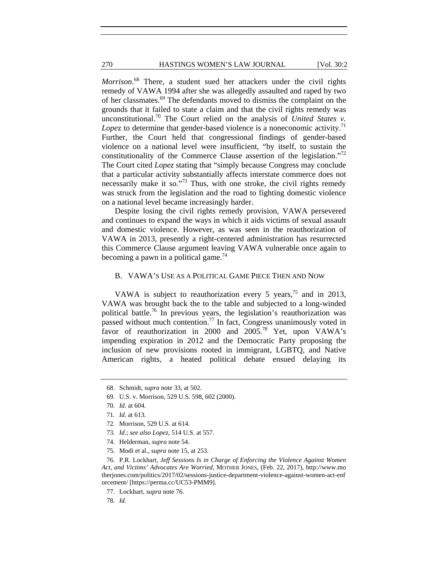*Morrison*. 68 There, a student sued her attackers under the civil rights remedy of VAWA 1994 after she was allegedly assaulted and raped by two of her classmates.69 The defendants moved to dismiss the complaint on the grounds that it failed to state a claim and that the civil rights remedy was unconstitutional.<sup>70</sup> The Court relied on the analysis of *United States v. Lopez* to determine that gender-based violence is a noneconomic activity.<sup>71</sup> Further, the Court held that congressional findings of gender-based violence on a national level were insufficient, "by itself, to sustain the constitutionality of the Commerce Clause assertion of the legislation."<sup>72</sup> The Court cited *Lopez* stating that "simply because Congress may conclude that a particular activity substantially affects interstate commerce does not necessarily make it so."<sup>73</sup> Thus, with one stroke, the civil rights remedy was struck from the legislation and the road to fighting domestic violence on a national level became increasingly harder.

Despite losing the civil rights remedy provision, VAWA persevered and continues to expand the ways in which it aids victims of sexual assault and domestic violence. However, as was seen in the reauthorization of VAWA in 2013, presently a right-centered administration has resurrected this Commerce Clause argument leaving VAWA vulnerable once again to becoming a pawn in a political game.<sup>74</sup>

#### B. VAWA'S USE AS A POLITICAL GAME PIECE THEN AND NOW

VAWA is subject to reauthorization every 5 years,<sup>75</sup> and in 2013, VAWA was brought back the to the table and subjected to a long-winded political battle.76 In previous years, the legislation's reauthorization was passed without much contention.<sup>77</sup> In fact, Congress unanimously voted in favor of reauthorization in 2000 and 2005.78 Yet, upon VAWA's impending expiration in 2012 and the Democratic Party proposing the inclusion of new provisions rooted in immigrant, LGBTQ, and Native American rights, a heated political debate ensued delaying its

75. Modi et al., *supra* note 15, at 253.

 <sup>68.</sup> Schmidt, *supra* note 33, at 502.

 <sup>69.</sup> U.S. v. Morrison, 529 U.S. 598, 602 (2000).

<sup>70</sup>*. Id*. at 604.

<sup>71</sup>*. Id*. at 613.

<sup>72</sup>*.* Morrison, 529 U.S. at 614.

<sup>73</sup>*. Id*.; *see also Lopez,* 514 U.S. at 557.

 <sup>74.</sup> Helderman, *supra* note 54.

 <sup>76.</sup> P.R. Lockhart, *Jeff Sessions Is in Charge of Enforcing the Violence Against Women Act, and Victims' Advocates Are Worried*, MOTHER JONES, (Feb. 22, 2017), http://www.mo therjones.com/politics/2017/02/sessions-justice-department-violence-against-women-act-enf orcement/ [https://perma.cc/UC53-PMM9].

 <sup>77.</sup> Lockhart, *supra* note 76.

<sup>78</sup>*. Id.*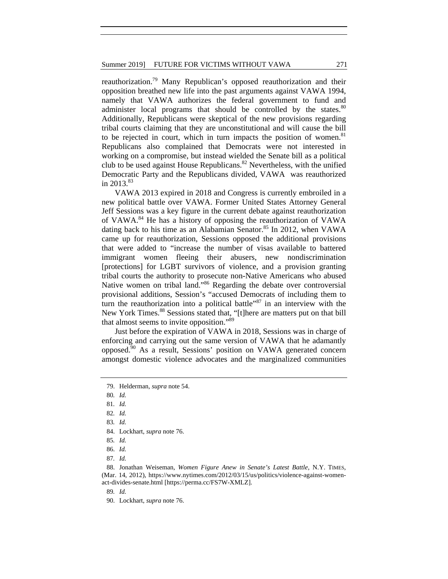reauthorization.79 Many Republican's opposed reauthorization and their opposition breathed new life into the past arguments against VAWA 1994, namely that VAWA authorizes the federal government to fund and administer local programs that should be controlled by the states. $80$ Additionally, Republicans were skeptical of the new provisions regarding tribal courts claiming that they are unconstitutional and will cause the bill to be rejected in court, which in turn impacts the position of women.<sup>81</sup> Republicans also complained that Democrats were not interested in working on a compromise, but instead wielded the Senate bill as a political club to be used against House Republicans.<sup>82</sup> Nevertheless, with the unified Democratic Party and the Republicans divided, VAWA was reauthorized in  $2013.^{83}$ 

VAWA 2013 expired in 2018 and Congress is currently embroiled in a new political battle over VAWA. Former United States Attorney General Jeff Sessions was a key figure in the current debate against reauthorization of VAWA.<sup>84</sup> He has a history of opposing the reauthorization of VAWA dating back to his time as an Alabamian Senator. $85$  In 2012, when VAWA came up for reauthorization, Sessions opposed the additional provisions that were added to "increase the number of visas available to battered immigrant women fleeing their abusers, new nondiscrimination [protections] for LGBT survivors of violence, and a provision granting tribal courts the authority to prosecute non-Native Americans who abused Native women on tribal land."<sup>86</sup> Regarding the debate over controversial provisional additions, Session's "accused Democrats of including them to turn the reauthorization into a political battle $187 \text{ m}$  an interview with the New York Times.<sup>88</sup> Sessions stated that, "[t]here are matters put on that bill that almost seems to invite opposition."89

Just before the expiration of VAWA in 2018, Sessions was in charge of enforcing and carrying out the same version of VAWA that he adamantly opposed.90 As a result, Sessions' position on VAWA generated concern amongst domestic violence advocates and the marginalized communities

87*. Id.*

 <sup>79.</sup> Helderman, *supra* note 54.

<sup>80</sup>*. Id.*

<sup>81</sup>*. Id.*

<sup>82</sup>*. Id.*

<sup>83</sup>*. Id.*

 <sup>84.</sup> Lockhart, *supra* note 76.

<sup>85</sup>*. Id.*

 <sup>86.</sup> *Id.*

 <sup>88.</sup> Jonathan Weiseman, *Women Figure Anew in Senate's Latest Battle*, N.Y. TIMES, (Mar. 14, 2012), https://www.nytimes.com/2012/03/15/us/politics/violence-against-womenact-divides-senate.html [https://perma.cc/FS7W-XMLZ].

<sup>89</sup>*. Id.*

 <sup>90.</sup> Lockhart, *supra* note 76.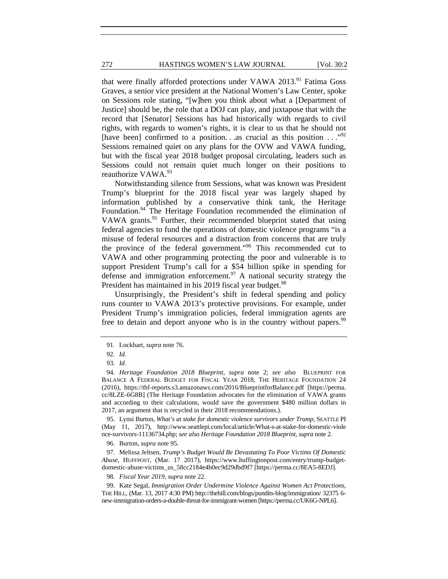that were finally afforded protections under VAWA 2013.<sup>91</sup> Fatima Goss Graves, a senior vice president at the National Women's Law Center, spoke on Sessions role stating, "[w]hen you think about what a [Department of Justice] should be, the role that a DOJ can play, and juxtapose that with the record that [Senator] Sessions has had historically with regards to civil rights, with regards to women's rights, it is clear to us that he should not [have been] confirmed to a position...as crucial as this position  $\ldots$ <sup>992</sup> Sessions remained quiet on any plans for the OVW and VAWA funding, but with the fiscal year 2018 budget proposal circulating, leaders such as Sessions could not remain quiet much longer on their positions to reauthorize VAWA.<sup>93</sup>

Notwithstanding silence from Sessions, what was known was President Trump's blueprint for the 2018 fiscal year was largely shaped by information published by a conservative think tank, the Heritage Foundation.<sup>94</sup> The Heritage Foundation recommended the elimination of VAWA grants.<sup>95</sup> Further, their recommended blueprint stated that using federal agencies to fund the operations of domestic violence programs "is a misuse of federal resources and a distraction from concerns that are truly the province of the federal government."96 This recommended cut to VAWA and other programming protecting the poor and vulnerable is to support President Trump's call for a \$54 billion spike in spending for defense and immigration enforcement.<sup>97</sup> A national security strategy the President has maintained in his 2019 fiscal year budget.<sup>98</sup>

Unsurprisingly, the President's shift in federal spending and policy runs counter to VAWA 2013's protective provisions. For example, under President Trump's immigration policies, federal immigration agents are free to detain and deport anyone who is in the country without papers.<sup>99</sup>

 95. Lynsi Burton, *What's at stake for domestic violence survivors under Trump*, SEATTLE PI (May 11, 2017), http://www.seattlepi.com/local/article/What-s-at-stake-for-domestic-viole nce-survivors-11136734.php; *see also Heritage Foundation 2018 Blueprint, supra* note 2.

96. Burton, *supra* note 95.

 97. Melissa Jeltsen, *Trump's Budget Would Be Devastating To Poor Victims Of Domestic Abuse*, HUFFPOST, (Mar. 17 2017), https://www.huffingtonpost.com/entry/trump-budgetdomestic-abuse-victims\_us\_58cc2184e4b0ec9d29dbd9f7 [https://perma.cc/8EA5-8EDJ].

98*. Fiscal Year 2019*, *supra* note 22.

 99. Kate Segal, *Immigration Order Undermine Violence Against Women Act Protections*, THE HILL, (Mar. 13, 2017 4:30 PM) http://thehill.com/blogs/pundits-blog/immigration/ 32375 6 new-immigration-orders-a-double-threat-for-immigrant-women [https://perma.cc/UK6G-NPL6].

<sup>91</sup>*.* Lockhart, *supra* note 76.

 <sup>92.</sup> *Id.*

<sup>93</sup>*. Id.*

<sup>94</sup>*. Heritage Foundation 2018 Blueprint*, *supra* note 2; *see also* BLUEPRINT FOR BALANCE A FEDERAL BUDGET FOR FISCAL YEAR 2018*,* THE HERITAGE FOUNDATION 24 (2016), https://thf-reports.s3.amazonaws.com/2016/BlueprintforBalance.pdf [https://perma. cc/8LZE-6G8B] (The Heritage Foundation advocates for the elimination of VAWA grants and according to their calculations, would save the government \$480 million dollars in 2017, an argument that is recycled in their 2018 recommendations.).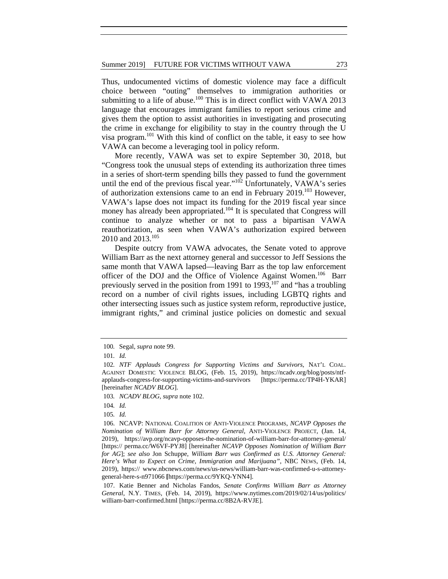Thus, undocumented victims of domestic violence may face a difficult choice between "outing" themselves to immigration authorities or submitting to a life of abuse.<sup>100</sup> This is in direct conflict with VAWA 2013 language that encourages immigrant families to report serious crime and gives them the option to assist authorities in investigating and prosecuting the crime in exchange for eligibility to stay in the country through the U visa program.101 With this kind of conflict on the table, it easy to see how VAWA can become a leveraging tool in policy reform.

More recently, VAWA was set to expire September 30, 2018, but "Congress took the unusual steps of extending its authorization three times in a series of short-term spending bills they passed to fund the government until the end of the previous fiscal year." $10^{2}$  Unfortunately, VAWA's series of authorization extensions came to an end in February 2019.<sup>103</sup> However, VAWA's lapse does not impact its funding for the 2019 fiscal year since money has already been appropriated.<sup>104</sup> It is speculated that Congress will continue to analyze whether or not to pass a bipartisan VAWA reauthorization, as seen when VAWA's authorization expired between 2010 and 2013.<sup>105</sup>

Despite outcry from VAWA advocates, the Senate voted to approve William Barr as the next attorney general and successor to Jeff Sessions the same month that VAWA lapsed—leaving Barr as the top law enforcement officer of the DOJ and the Office of Violence Against Women.<sup>106</sup> Barr previously served in the position from 1991 to 1993,  $107$  and "has a troubling record on a number of civil rights issues, including LGBTQ rights and other intersecting issues such as justice system reform, reproductive justice, immigrant rights," and criminal justice policies on domestic and sexual

103*. NCADV BLOG, supra* note 102.

104*. Id.*

105*. Id.*

<sup>100</sup>*.* Segal, *supra* note 99.

<sup>101</sup>*. Id.*

<sup>102</sup>*. NTF Applauds Congress for Supporting Victims and Survivors*, NAT'L COAL. AGAINST DOMESTIC VIOLENCE BLOG, (Feb. 15, 2019), https://ncadv.org/blog/posts/ntfapplauds-congress-for-supporting-victims-and-survivors [https://perma.cc/TP4H-YKAR] [hereinafter *NCADV BLOG*].

 <sup>106.</sup> NCAVP: NATIONAL COALITION OF ANTI-VIOLENCE PROGRAMS, *NCAVP Opposes the Nomination of William Barr for Attorney General*, ANTI-VIOLENCE PROJECT, (Jan. 14, 2019), https://avp.org/ncavp-opposes-the-nomination-of-william-barr-for-attorney-general/ [https:// perma.cc/W6VF-PYJ8] [hereinafter *NCAVP Opposes Nomination of William Barr for AG*]; *see also* Jon Schuppe, *William Barr was Confirmed as U.S. Attorney General: Here's What to Expect on Crime, Immigration and Marijuana"*, NBC NEWS, (Feb. 14, 2019), https:// www.nbcnews.com/news/us-news/william-barr-was-confirmed-u-s-attorneygeneral-here-s-n971066 **[**https://perma.cc/9YKQ-YNN4].

 <sup>107.</sup> Katie Benner and Nicholas Fandos, *Senate Confirms William Barr as Attorney General*, N.Y. TIMES, (Feb. 14, 2019), https://www.nytimes.com/2019/02/14/us/politics/ william-barr-confirmed.html [https://perma.cc/8B2A-RVJE].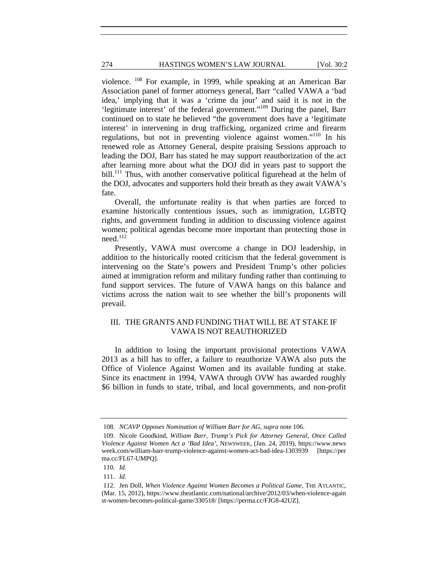violence. 108 For example, in 1999, while speaking at an American Bar Association panel of former attorneys general, Barr "called VAWA a 'bad idea,' implying that it was a 'crime du jour' and said it is not in the 'legitimate interest' of the federal government."109 During the panel, Barr continued on to state he believed "the government does have a 'legitimate interest' in intervening in drug trafficking, organized crime and firearm regulations, but not in preventing violence against women."110 In his renewed role as Attorney General, despite praising Sessions approach to leading the DOJ, Barr has stated he may support reauthorization of the act after learning more about what the DOJ did in years past to support the bill.<sup>111</sup> Thus, with another conservative political figurehead at the helm of the DOJ, advocates and supporters hold their breath as they await VAWA's fate.

Overall, the unfortunate reality is that when parties are forced to examine historically contentious issues, such as immigration, LGBTQ rights, and government funding in addition to discussing violence against women; political agendas become more important than protecting those in  $need.<sup>112</sup>$ 

Presently, VAWA must overcome a change in DOJ leadership, in addition to the historically rooted criticism that the federal government is intervening on the State's powers and President Trump's other policies aimed at immigration reform and military funding rather than continuing to fund support services. The future of VAWA hangs on this balance and victims across the nation wait to see whether the bill's proponents will prevail.

# III. THE GRANTS AND FUNDING THAT WILL BE AT STAKE IF VAWA IS NOT REAUTHORIZED

In addition to losing the important provisional protections VAWA 2013 as a bill has to offer, a failure to reauthorize VAWA also puts the Office of Violence Against Women and its available funding at stake. Since its enactment in 1994, VAWA through OVW has awarded roughly \$6 billion in funds to state, tribal, and local governments, and non-profit

<sup>108</sup>*. NCAVP Opposes Nomination of William Barr for AG, supra* note 106.

 <sup>109.</sup> Nicole Goodkind, *William Barr, Trump's Pick for Attorney General, Once Called Violence Against Women Act a 'Bad Idea'*, NEWSWEEK, (Jan. 24, 2019), https://www.news week.com/william-barr-trump-violence-against-women-act-bad-idea-1303939 [https://per ma.cc/FL67-UMPQ].

<sup>110</sup>*. Id.*

 <sup>111.</sup> *Id.*

 <sup>112.</sup> Jen Doll, *When Violence Against Women Becomes a Political Game*, THE ATLANTIC, (Mar. 15, 2012), https://www.theatlantic.com/national/archive/2012/03/when-violence-again st-women-becomes-political-game/330518/ [https://perma.cc/FJG8-42UZ].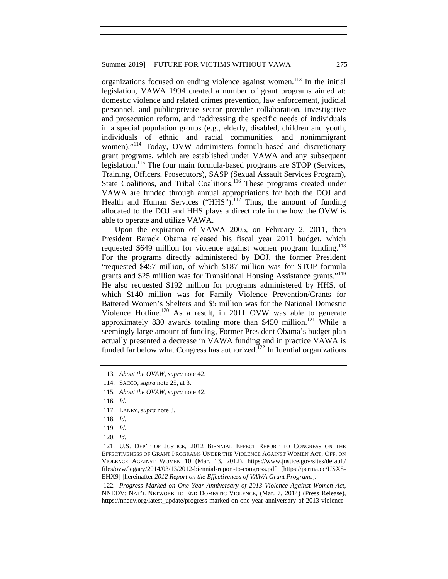organizations focused on ending violence against women.<sup>113</sup> In the initial legislation, VAWA 1994 created a number of grant programs aimed at: domestic violence and related crimes prevention, law enforcement, judicial personnel, and public/private sector provider collaboration, investigative and prosecution reform, and "addressing the specific needs of individuals in a special population groups (e.g., elderly, disabled, children and youth, individuals of ethnic and racial communities, and nonimmigrant women)."<sup>114</sup> Today, OVW administers formula-based and discretionary grant programs, which are established under VAWA and any subsequent legislation.<sup>115</sup> The four main formula-based programs are STOP (Services, Training, Officers, Prosecutors), SASP (Sexual Assault Services Program), State Coalitions, and Tribal Coalitions.<sup>116</sup> These programs created under VAWA are funded through annual appropriations for both the DOJ and Health and Human Services ("HHS").<sup>117</sup> Thus, the amount of funding allocated to the DOJ and HHS plays a direct role in the how the OVW is able to operate and utilize VAWA.

Upon the expiration of VAWA 2005, on February 2, 2011, then President Barack Obama released his fiscal year 2011 budget, which requested  $$649$  million for violence against women program funding.<sup>118</sup> For the programs directly administered by DOJ, the former President "requested \$457 million, of which \$187 million was for STOP formula grants and \$25 million was for Transitional Housing Assistance grants."<sup>119</sup> He also requested \$192 million for programs administered by HHS, of which \$140 million was for Family Violence Prevention/Grants for Battered Women's Shelters and \$5 million was for the National Domestic Violence Hotline.120 As a result, in 2011 OVW was able to generate approximately 830 awards totaling more than \$450 million.<sup>121</sup> While a seemingly large amount of funding, Former President Obama's budget plan actually presented a decrease in VAWA funding and in practice VAWA is funded far below what Congress has authorized.<sup>122</sup> Influential organizations

122*. Progress Marked on One Year Anniversary of 2013 Violence Against Women Act*, NNEDV: NAT'L NETWORK TO END DOMESTIC VIOLENCE, (Mar. 7, 2014) (Press Release), https://nnedv.org/latest\_update/progress-marked-on-one-year-anniversary-of-2013-violence-

<sup>113</sup>*. About the OVAW, supra* note 42.

 <sup>114.</sup> SACCO, *supra* note 25, at 3.

<sup>115</sup>*. About the OVAW, supra* note 42.

<sup>116</sup>*. Id.*

 <sup>117.</sup> LANEY, *supra* note 3.

<sup>118</sup>*. Id.*

 <sup>119.</sup> *Id.*

<sup>120</sup>*. Id.*

 <sup>121.</sup> U.S. DEP'T OF JUSTICE, 2012 BIENNIAL EFFECT REPORT TO CONGRESS ON THE EFFECTIVENESS OF GRANT PROGRAMS UNDER THE VIOLENCE AGAINST WOMEN ACT, OFF. ON VIOLENCE AGAINST WOMEN 10 (Mar. 13, 2012), https://www.justice.gov/sites/default/ files/ovw/legacy/2014/03/13/2012-biennial-report-to-congress.pdf [https://perma.cc/USX8- EHX9] [hereinafter *2012 Report on the Effectiveness of VAWA Grant Programs*].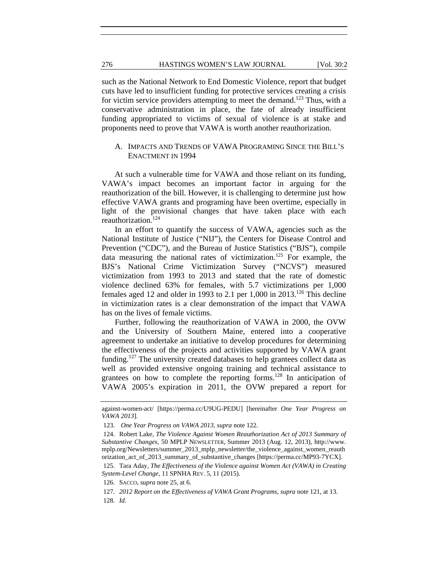such as the National Network to End Domestic Violence, report that budget cuts have led to insufficient funding for protective services creating a crisis for victim service providers attempting to meet the demand.<sup>123</sup> Thus, with a conservative administration in place, the fate of already insufficient funding appropriated to victims of sexual of violence is at stake and proponents need to prove that VAWA is worth another reauthorization.

# A. IMPACTS AND TRENDS OF VAWA PROGRAMING SINCE THE BILL'S ENACTMENT IN 1994

At such a vulnerable time for VAWA and those reliant on its funding, VAWA's impact becomes an important factor in arguing for the reauthorization of the bill. However, it is challenging to determine just how effective VAWA grants and programing have been overtime, especially in light of the provisional changes that have taken place with each reauthorization.<sup>124</sup>

In an effort to quantify the success of VAWA, agencies such as the National Institute of Justice ("NIJ"), the Centers for Disease Control and Prevention ("CDC"), and the Bureau of Justice Statistics ("BJS"), compile data measuring the national rates of victimization.<sup>125</sup> For example, the BJS's National Crime Victimization Survey ("NCVS") measured victimization from 1993 to 2013 and stated that the rate of domestic violence declined 63% for females, with 5.7 victimizations per 1,000 females aged 12 and older in 1993 to 2.1 per 1,000 in 2013.<sup>126</sup> This decline in victimization rates is a clear demonstration of the impact that VAWA has on the lives of female victims.

Further, following the reauthorization of VAWA in 2000, the OVW and the University of Southern Maine, entered into a cooperative agreement to undertake an initiative to develop procedures for determining the effectiveness of the projects and activities supported by VAWA grant funding.<sup>127</sup> The university created databases to help grantees collect data as well as provided extensive ongoing training and technical assistance to grantees on how to complete the reporting forms.<sup>128</sup> In anticipation of VAWA 2005's expiration in 2011, the OVW prepared a report for

against-women-act/ [https://perma.cc/U9UG-PEDU] [hereinafter *One Year Progress on VAWA 2013*].

<sup>123</sup>*. One Year Progress on VAWA 2013, supra* note 122.

 <sup>124.</sup> Robert Lake, *The Violence Against Women Reauthorization Act of 2013 Summary of Substantive Changes*, 50 MPLP NEWSLETTER, Summer 2013 (Aug. 12, 2013), http://www. mplp.org/Newsletters/summer\_2013\_mplp\_newsletter/the\_violence\_against\_women\_reauth orization\_act\_of\_2013\_summary\_of\_substantive\_changes [https://perma.cc/MP93-7YCX].

 <sup>125.</sup> Tara Aday, *The Effectiveness of the Violence against Women Act (VAWA) in Creating System-Level Change*, 11 SPNHA REV. 5, 11 (2015).

 <sup>126.</sup> SACCO, *supra* note 25, at 6.

<sup>127</sup>*. 2012 Report on the Effectiveness of VAWA Grant Programs*, *supra* note 121, at 13. 128*. Id.*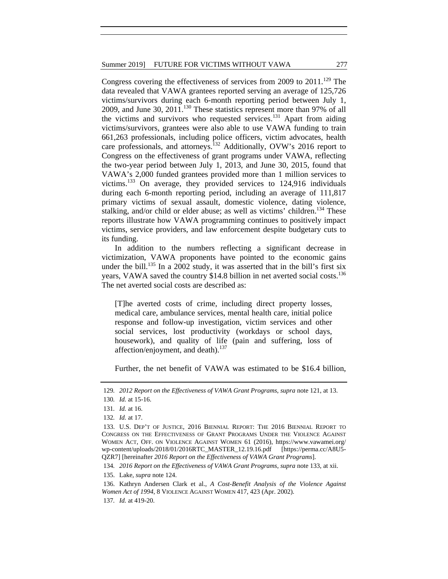Congress covering the effectiveness of services from 2009 to  $2011$ .<sup>129</sup> The data revealed that VAWA grantees reported serving an average of 125,726 victims/survivors during each 6-month reporting period between July 1, 2009, and June 30, 2011.130 These statistics represent more than 97% of all the victims and survivors who requested services.<sup>131</sup> Apart from aiding victims/survivors, grantees were also able to use VAWA funding to train 661,263 professionals, including police officers, victim advocates, health care professionals, and attorneys.<sup>132</sup> Additionally, OVW's 2016 report to Congress on the effectiveness of grant programs under VAWA, reflecting the two-year period between July 1, 2013, and June 30, 2015, found that VAWA's 2,000 funded grantees provided more than 1 million services to victims.133 On average, they provided services to 124,916 individuals during each 6-month reporting period, including an average of 111,817 primary victims of sexual assault, domestic violence, dating violence, stalking, and/or child or elder abuse; as well as victims' children.<sup>134</sup> These reports illustrate how VAWA programming continues to positively impact victims, service providers, and law enforcement despite budgetary cuts to its funding.

In addition to the numbers reflecting a significant decrease in victimization, VAWA proponents have pointed to the economic gains under the bill.<sup>135</sup> In a 2002 study, it was asserted that in the bill's first six years, VAWA saved the country \$14.8 billion in net averted social costs.<sup>136</sup> The net averted social costs are described as:

[T]he averted costs of crime, including direct property losses, medical care, ambulance services, mental health care, initial police response and follow-up investigation, victim services and other social services, lost productivity (workdays or school days, housework), and quality of life (pain and suffering, loss of affection/enjoyment, and death). $137$ 

Further, the net benefit of VAWA was estimated to be \$16.4 billion,

134*. 2016 Report on the Effectiveness of VAWA Grant Programs*, *supra* note 133, at xii.

<sup>129</sup>*. 2012 Report on the Effectiveness of VAWA Grant Programs*, *supra* note 121, at 13.

<sup>130</sup>*. Id.* at 15-16.

<sup>131</sup>*. Id.* at 16.

<sup>132</sup>*. Id.* at 17.

 <sup>133.</sup> U.S. DEP'T OF JUSTICE, 2016 BIENNIAL REPORT: THE 2016 BIENNIAL REPORT TO CONGRESS ON THE EFFECTIVENESS OF GRANT PROGRAMS UNDER THE VIOLENCE AGAINST WOMEN ACT, OFF. ON VIOLENCE AGAINST WOMEN 61 (2016), https://www.vawamei.org/ wp-content/uploads/2018/01/2016RTC\_MASTER\_12.19.16.pdf [https://perma.cc/A8U5- QZR7] [hereinafter *2016 Report on the Effectiveness of VAWA Grant Programs*].

 <sup>135.</sup> Lake, *supra* note 124.

 <sup>136.</sup> Kathryn Andersen Clark et al., *A Cost-Benefit Analysis of the Violence Against Women Act of 1994*, 8 VIOLENCE AGAINST WOMEN 417, 423 (Apr. 2002).

<sup>137</sup>*. Id.* at 419-20.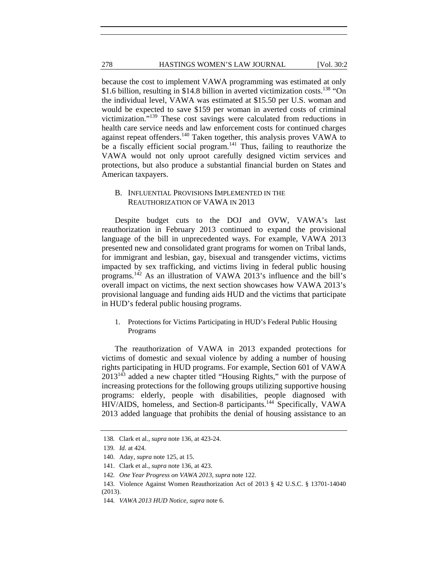because the cost to implement VAWA programming was estimated at only \$1.6 billion, resulting in \$14.8 billion in averted victimization costs.<sup>138</sup> "On the individual level, VAWA was estimated at \$15.50 per U.S. woman and would be expected to save \$159 per woman in averted costs of criminal victimization."139 These cost savings were calculated from reductions in health care service needs and law enforcement costs for continued charges against repeat offenders.140 Taken together, this analysis proves VAWA to be a fiscally efficient social program.<sup>141</sup> Thus, failing to reauthorize the VAWA would not only uproot carefully designed victim services and protections, but also produce a substantial financial burden on States and American taxpayers.

# B. INFLUENTIAL PROVISIONS IMPLEMENTED IN THE REAUTHORIZATION OF VAWA IN 2013

Despite budget cuts to the DOJ and OVW, VAWA's last reauthorization in February 2013 continued to expand the provisional language of the bill in unprecedented ways. For example, VAWA 2013 presented new and consolidated grant programs for women on Tribal lands, for immigrant and lesbian, gay, bisexual and transgender victims, victims impacted by sex trafficking, and victims living in federal public housing programs.142 As an illustration of VAWA 2013's influence and the bill's overall impact on victims, the next section showcases how VAWA 2013's provisional language and funding aids HUD and the victims that participate in HUD's federal public housing programs.

1. Protections for Victims Participating in HUD's Federal Public Housing Programs

The reauthorization of VAWA in 2013 expanded protections for victims of domestic and sexual violence by adding a number of housing rights participating in HUD programs. For example, Section 601 of VAWA  $2013<sup>143</sup>$  added a new chapter titled "Housing Rights," with the purpose of increasing protections for the following groups utilizing supportive housing programs: elderly, people with disabilities, people diagnosed with HIV/AIDS, homeless, and Section-8 participants.144 Specifically, VAWA 2013 added language that prohibits the denial of housing assistance to an

<sup>138</sup>*.* Clark et al., *supra* note 136, at 423-24.

<sup>139</sup>*. Id.* at 424.

 <sup>140.</sup> Aday, *supra* note 125, at 15.

 <sup>141.</sup> Clark et al., *supra* note 136, at 423.

<sup>142</sup>*. One Year Progress on VAWA 2013, supra* note 122.

 <sup>143.</sup> Violence Against Women Reauthorization Act of 2013 § 42 U.S.C. § 13701-14040 (2013).

<sup>144</sup>*. VAWA 2013 HUD Notice*, *supra* note 6.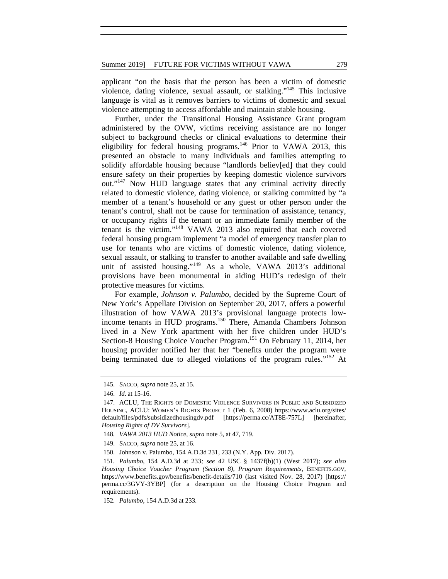applicant "on the basis that the person has been a victim of domestic violence, dating violence, sexual assault, or stalking."145 This inclusive language is vital as it removes barriers to victims of domestic and sexual violence attempting to access affordable and maintain stable housing.

Further, under the Transitional Housing Assistance Grant program administered by the OVW, victims receiving assistance are no longer subject to background checks or clinical evaluations to determine their eligibility for federal housing programs.<sup>146</sup> Prior to VAWA 2013, this presented an obstacle to many individuals and families attempting to solidify affordable housing because "landlords believ[ed] that they could ensure safety on their properties by keeping domestic violence survivors out."147 Now HUD language states that any criminal activity directly related to domestic violence, dating violence, or stalking committed by "a member of a tenant's household or any guest or other person under the tenant's control, shall not be cause for termination of assistance, tenancy, or occupancy rights if the tenant or an immediate family member of the tenant is the victim."148 VAWA 2013 also required that each covered federal housing program implement "a model of emergency transfer plan to use for tenants who are victims of domestic violence, dating violence, sexual assault, or stalking to transfer to another available and safe dwelling unit of assisted housing."<sup>149</sup> As a whole, VAWA 2013's additional provisions have been monumental in aiding HUD's redesign of their protective measures for victims.

For example, *Johnson v. Palumbo*, decided by the Supreme Court of New York's Appellate Division on September 20, 2017, offers a powerful illustration of how VAWA 2013's provisional language protects lowincome tenants in HUD programs.<sup>150</sup> There, Amanda Chambers Johnson lived in a New York apartment with her five children under HUD's Section-8 Housing Choice Voucher Program.<sup>151</sup> On February 11, 2014, her housing provider notified her that her "benefits under the program were being terminated due to alleged violations of the program rules."<sup>152</sup> At

 <sup>145.</sup> SACCO, *supra* note 25, at 15.

 <sup>146.</sup> *Id*. at 15-16.

 <sup>147.</sup> ACLU, THE RIGHTS OF DOMESTIC VIOLENCE SURVIVORS IN PUBLIC AND SUBSIDIZED HOUSING*,* ACLU: WOMEN'S RIGHTS PROJECT 1 (Feb. 6, 2008) https://www.aclu.org/sites/ default/files/pdfs/subsidizedhousingdv.pdf [https://perma.cc/AT8E-757L] [hereinafter, *Housing Rights of DV Survivors*].

<sup>148</sup>*. VAWA 2013 HUD Notice, supra* note 5, at 47, 719.

 <sup>149.</sup> SACCO, *supra* note 25, at 16.

 <sup>150.</sup> Johnson v. Palumbo, 154 A.D.3d 231, 233 (N.Y. App. Div. 2017).

<sup>151</sup>*. Palumbo*, 154 A.D.3d at 233*; see* 42 USC § 1437f(b)(1) (West 2017); *see also Housing Choice Voucher Program (Section 8)*, *Program Requirements*, BENEFITS.GOV, https://www.benefits.gov/benefits/benefit-details/710 (last visited Nov. 28, 2017) [https:// perma.cc/3GVY-3YBP] (for a description on the Housing Choice Program and requirements).

<sup>152</sup>*. Palumbo*, 154 A.D.3d at 233.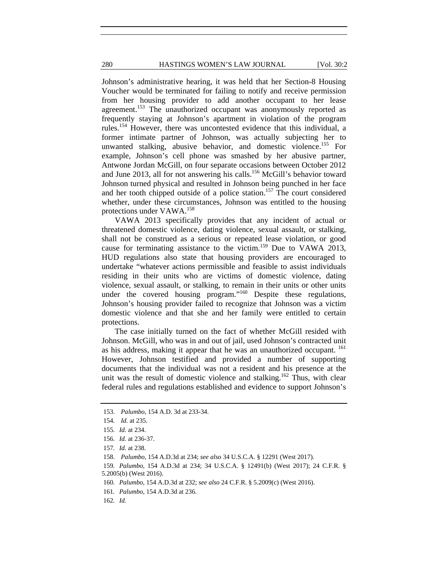Johnson's administrative hearing, it was held that her Section-8 Housing Voucher would be terminated for failing to notify and receive permission from her housing provider to add another occupant to her lease agreement.<sup>153</sup> The unauthorized occupant was anonymously reported as frequently staying at Johnson's apartment in violation of the program rules.154 However, there was uncontested evidence that this individual, a former intimate partner of Johnson, was actually subjecting her to unwanted stalking, abusive behavior, and domestic violence.<sup>155</sup> For example, Johnson's cell phone was smashed by her abusive partner, Antwone Jordan McGill, on four separate occasions between October 2012 and June 2013, all for not answering his calls.<sup>156</sup> McGill's behavior toward Johnson turned physical and resulted in Johnson being punched in her face and her tooth chipped outside of a police station.<sup>157</sup> The court considered whether, under these circumstances, Johnson was entitled to the housing protections under VAWA.<sup>158</sup>

VAWA 2013 specifically provides that any incident of actual or threatened domestic violence, dating violence, sexual assault, or stalking, shall not be construed as a serious or repeated lease violation, or good cause for terminating assistance to the victim.<sup>159</sup> Due to VAWA 2013, HUD regulations also state that housing providers are encouraged to undertake "whatever actions permissible and feasible to assist individuals residing in their units who are victims of domestic violence, dating violence, sexual assault, or stalking, to remain in their units or other units under the covered housing program."<sup>160</sup> Despite these regulations, Johnson's housing provider failed to recognize that Johnson was a victim domestic violence and that she and her family were entitled to certain protections.

The case initially turned on the fact of whether McGill resided with Johnson. McGill, who was in and out of jail, used Johnson's contracted unit as his address, making it appear that he was an unauthorized occupant. <sup>161</sup> However, Johnson testified and provided a number of supporting documents that the individual was not a resident and his presence at the unit was the result of domestic violence and stalking.<sup>162</sup> Thus, with clear federal rules and regulations established and evidence to support Johnson's

 <sup>153.</sup> *Palumbo,* 154 A.D. 3d at 233-34.

 <sup>154.</sup> *Id.* at 235.

<sup>155</sup>*. Id.* at 234.

<sup>156</sup>*. Id.* at 236-37.

<sup>157</sup>*. Id.* at 238.

 <sup>158.</sup> *Palumbo*, 154 A.D.3d at 234; *see also* 34 U.S.C.A. § 12291 (West 2017).

<sup>159</sup>*. Palumbo*, 154 A.D.3d at 234; 34 U.S.C.A. § 12491(b) (West 2017); 24 C.F.R. § 5.2005(b) (West 2016).

<sup>160</sup>*. Palumbo*, 154 A.D.3d at 232; *see also* 24 C.F.R. § 5.2009(c) (West 2016).

<sup>161</sup>*. Palumbo*, 154 A.D.3d at 236.

<sup>162</sup>*. Id.*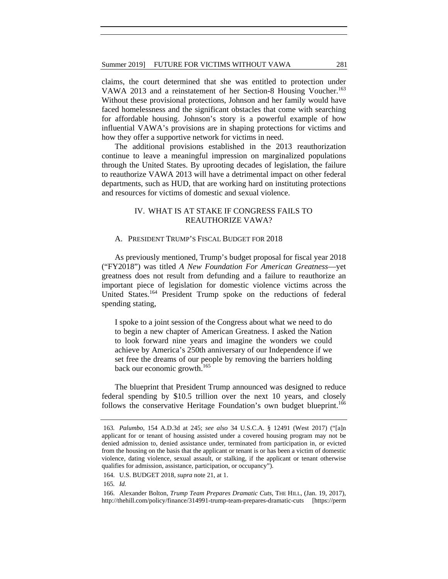claims, the court determined that she was entitled to protection under VAWA 2013 and a reinstatement of her Section-8 Housing Voucher.<sup>163</sup> Without these provisional protections, Johnson and her family would have faced homelessness and the significant obstacles that come with searching for affordable housing. Johnson's story is a powerful example of how influential VAWA's provisions are in shaping protections for victims and how they offer a supportive network for victims in need.

The additional provisions established in the 2013 reauthorization continue to leave a meaningful impression on marginalized populations through the United States. By uprooting decades of legislation, the failure to reauthorize VAWA 2013 will have a detrimental impact on other federal departments, such as HUD, that are working hard on instituting protections and resources for victims of domestic and sexual violence.

# IV. WHAT IS AT STAKE IF CONGRESS FAILS TO REAUTHORIZE VAWA?

#### A. PRESIDENT TRUMP'S FISCAL BUDGET FOR 2018

As previously mentioned, Trump's budget proposal for fiscal year 2018 ("FY2018") was titled *A New Foundation For American Greatness*—yet greatness does not result from defunding and a failure to reauthorize an important piece of legislation for domestic violence victims across the United States.<sup>164</sup> President Trump spoke on the reductions of federal spending stating,

I spoke to a joint session of the Congress about what we need to do to begin a new chapter of American Greatness. I asked the Nation to look forward nine years and imagine the wonders we could achieve by America's 250th anniversary of our Independence if we set free the dreams of our people by removing the barriers holding back our economic growth.<sup>165</sup>

The blueprint that President Trump announced was designed to reduce federal spending by \$10.5 trillion over the next 10 years, and closely follows the conservative Heritage Foundation's own budget blueprint.<sup>166</sup>

165*. Id.*

<sup>163</sup>*. Palumbo*, 154 A.D.3d at 245; *see also* 34 U.S.C.A. § 12491 (West 2017) ("[a]n applicant for or tenant of housing assisted under a covered housing program may not be denied admission to, denied assistance under, terminated from participation in, or evicted from the housing on the basis that the applicant or tenant is or has been a victim of domestic violence, dating violence, sexual assault, or stalking, if the applicant or tenant otherwise qualifies for admission, assistance, participation, or occupancy").

 <sup>164.</sup> U.S. BUDGET 2018*, supra* note 21, at 1.

 <sup>166.</sup> Alexander Bolton, *Trump Team Prepares Dramatic Cuts*, THE HILL, (Jan. 19, 2017), http://thehill.com/policy/finance/314991-trump-team-prepares-dramatic-cuts [https://perm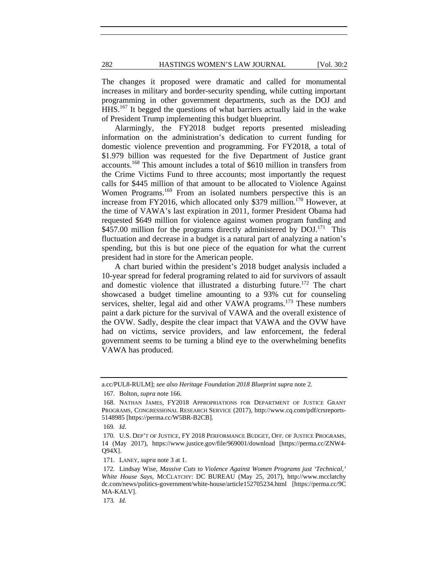The changes it proposed were dramatic and called for monumental increases in military and border-security spending, while cutting important programming in other government departments, such as the DOJ and HHS.167 It begged the questions of what barriers actually laid in the wake of President Trump implementing this budget blueprint.

Alarmingly, the FY2018 budget reports presented misleading information on the administration's dedication to current funding for domestic violence prevention and programming. For FY2018, a total of \$1.979 billion was requested for the five Department of Justice grant accounts.168 This amount includes a total of \$610 million in transfers from the Crime Victims Fund to three accounts; most importantly the request calls for \$445 million of that amount to be allocated to Violence Against Women Programs.<sup>169</sup> From an isolated numbers perspective this is an increase from FY2016, which allocated only \$379 million.<sup>170</sup> However, at the time of VAWA's last expiration in 2011, former President Obama had requested \$649 million for violence against women program funding and  $$457.00$  million for the programs directly administered by DOJ.<sup>171</sup> This fluctuation and decrease in a budget is a natural part of analyzing a nation's spending, but this is but one piece of the equation for what the current president had in store for the American people.

A chart buried within the president's 2018 budget analysis included a 10-year spread for federal programing related to aid for survivors of assault and domestic violence that illustrated a disturbing future.<sup>172</sup> The chart showcased a budget timeline amounting to a 93% cut for counseling services, shelter, legal aid and other VAWA programs.<sup>173</sup> These numbers paint a dark picture for the survival of VAWA and the overall existence of the OVW. Sadly, despite the clear impact that VAWA and the OVW have had on victims, service providers, and law enforcement, the federal government seems to be turning a blind eye to the overwhelming benefits VAWA has produced.

a.cc/PUL8-RULM]; *see also Heritage Foundation 2018 Blueprint supra* note 2.

 <sup>167.</sup> Bolton, *supra* note 166.

 <sup>168.</sup> NATHAN JAMES, FY2018 APPROPRIATIONS FOR DEPARTMENT OF JUSTICE GRANT PROGRAMS*,* CONGRESSIONAL RESEARCH SERVICE (2017), http://www.cq.com/pdf/crsreports-5148985 [https://perma.cc/W5BR-B2CB].

<sup>169</sup>*. Id*.

 <sup>170.</sup> U.S. DEP'T OF JUSTICE, FY 2018 PERFORMANCE BUDGET*,* OFF. OF JUSTICE PROGRAMS, 14 (May 2017), https://www.justice.gov/file/969001/download [https://perma.cc/ZNW4- Q94X].

 <sup>171.</sup> LANEY, *supra* note 3 at 1.

 <sup>172.</sup> Lindsay Wise, *Massive Cuts to Violence Against Women Programs just 'Technical,' White House Says*, MCCLATCHY: DC BUREAU (May 25, 2017), http://www.mcclatchy dc.com/news/politics-government/white-house/article152705234.html [https://perma.cc/9C MA-KALV].

<sup>173</sup>*. Id.*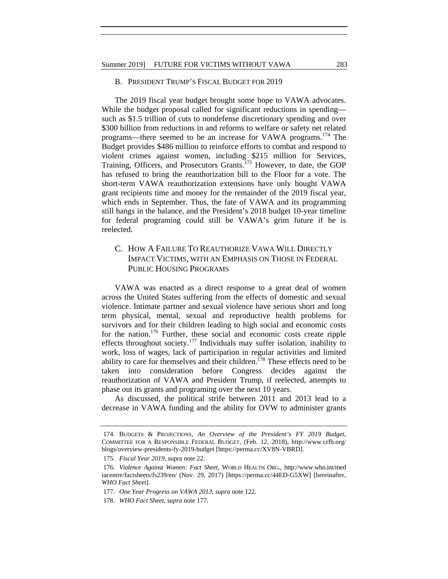#### B. PRESIDENT TRUMP'S FISCAL BUDGET FOR 2019

The 2019 fiscal year budget brought some hope to VAWA advocates. While the budget proposal called for significant reductions in spending such as \$1.5 trillion of cuts to nondefense discretionary spending and over \$300 billion from reductions in and reforms to welfare or safety net related programs—there seemed to be an increase for VAWA programs.<sup>174</sup> The Budget provides \$486 million to reinforce efforts to combat and respond to violent crimes against women, including \$215 million for Services, Training, Officers, and Prosecutors Grants.<sup>175</sup> However, to date, the GOP has refused to bring the reauthorization bill to the Floor for a vote. The short-term VAWA reauthorization extensions have only bought VAWA grant recipients time and money for the remainder of the 2019 fiscal year, which ends in September. Thus, the fate of VAWA and its programming still hangs in the balance, and the President's 2018 budget 10-year timeline for federal programing could still be VAWA's grim future if he is reelected.

# C. HOW A FAILURE TO REAUTHORIZE VAWA WILL DIRECTLY IMPACT VICTIMS, WITH AN EMPHASIS ON THOSE IN FEDERAL PUBLIC HOUSING PROGRAMS

VAWA was enacted as a direct response to a great deal of women across the United States suffering from the effects of domestic and sexual violence. Intimate partner and sexual violence have serious short and long term physical, mental, sexual and reproductive health problems for survivors and for their children leading to high social and economic costs for the nation.<sup>176</sup> Further, these social and economic costs create ripple effects throughout society.177 Individuals may suffer isolation, inability to work, loss of wages, lack of participation in regular activities and limited ability to care for themselves and their children.<sup>178</sup> These effects need to be taken into consideration before Congress decides against the reauthorization of VAWA and President Trump, if reelected, attempts to phase out its grants and programing over the next 10 years.

As discussed, the political strife between 2011 and 2013 lead to a decrease in VAWA funding and the ability for OVW to administer grants

 <sup>174.</sup> BUDGETS & PROJECTIONS, *An Overview of the President's FY 2019 Budget*, COMMITTEE FOR A RESPONSIBLE FEDERAL BUDGET, (Feb. 12, 2018), http://www.crfb.org/ blogs/overview-presidents-fy-2019-budget [https://perma.cc/XV8N-VBRD].

<sup>175</sup>*. Fiscal Year 2019*, supra note 22.

<sup>176</sup>*. Violence Against Women: Fact Sheet*, WORLD HEALTH ORG., http://www.who.int/med iacentre/factsheets/fs239/en/ (Nov. 29, 2017) [https://perma.cc/44ED-G5XW] [hereinafter, *WHO Fact Sheet*].

<sup>177</sup>*. One Year Progress on VAWA 2013*, *supra* note 122.

<sup>178</sup>*. WHO Fact Sheet*, *supra* note 177.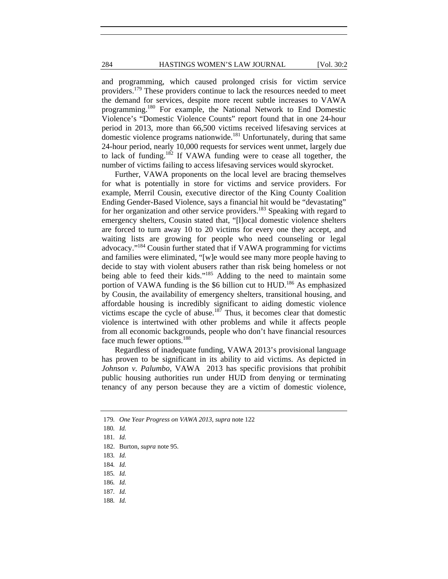and programming, which caused prolonged crisis for victim service providers.<sup>179</sup> These providers continue to lack the resources needed to meet the demand for services, despite more recent subtle increases to VAWA programming.180 For example, the National Network to End Domestic Violence's "Domestic Violence Counts" report found that in one 24-hour period in 2013, more than 66,500 victims received lifesaving services at domestic violence programs nationwide.<sup>181</sup> Unfortunately, during that same 24-hour period, nearly 10,000 requests for services went unmet, largely due to lack of funding.182 If VAWA funding were to cease all together, the number of victims failing to access lifesaving services would skyrocket.

Further, VAWA proponents on the local level are bracing themselves for what is potentially in store for victims and service providers. For example, Merril Cousin, executive director of the King County Coalition Ending Gender-Based Violence, says a financial hit would be "devastating" for her organization and other service providers.<sup>183</sup> Speaking with regard to emergency shelters, Cousin stated that, "[l]ocal domestic violence shelters are forced to turn away 10 to 20 victims for every one they accept, and waiting lists are growing for people who need counseling or legal advocacy."184 Cousin further stated that if VAWA programming for victims and families were eliminated, "[w]e would see many more people having to decide to stay with violent abusers rather than risk being homeless or not being able to feed their kids."<sup>185</sup> Adding to the need to maintain some portion of VAWA funding is the \$6 billion cut to HUD.<sup>186</sup> As emphasized by Cousin, the availability of emergency shelters, transitional housing, and affordable housing is incredibly significant to aiding domestic violence victims escape the cycle of abuse.<sup>187</sup> Thus, it becomes clear that domestic violence is intertwined with other problems and while it affects people from all economic backgrounds, people who don't have financial resources face much fewer options.<sup>188</sup>

Regardless of inadequate funding, VAWA 2013's provisional language has proven to be significant in its ability to aid victims. As depicted in *Johnson v. Palumbo*, VAWA 2013 has specific provisions that prohibit public housing authorities run under HUD from denying or terminating tenancy of any person because they are a victim of domestic violence,

188*. Id.*

<sup>179</sup>*. One Year Progress on VAWA 2013*, *supra* note 122

<sup>180</sup>*. Id.*

<sup>181</sup>*. Id.*

 <sup>182.</sup> Burton, *supra* note 95.

<sup>183</sup>*. Id.*

<sup>184</sup>*. Id.*

<sup>185</sup>*. Id.*

<sup>186</sup>*. Id.*

<sup>187</sup>*. Id.*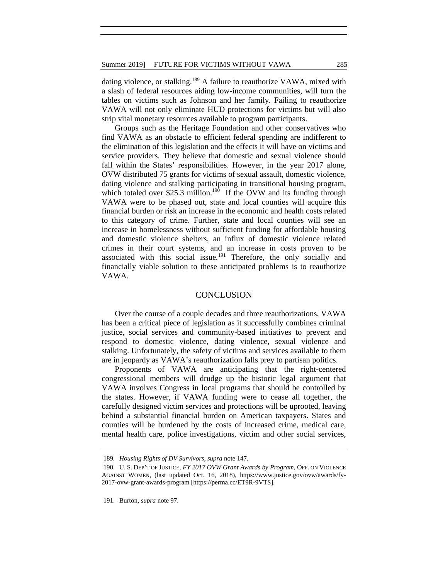dating violence, or stalking.<sup>189</sup> A failure to reauthorize VAWA, mixed with a slash of federal resources aiding low-income communities, will turn the tables on victims such as Johnson and her family*.* Failing to reauthorize VAWA will not only eliminate HUD protections for victims but will also strip vital monetary resources available to program participants.

Groups such as the Heritage Foundation and other conservatives who find VAWA as an obstacle to efficient federal spending are indifferent to the elimination of this legislation and the effects it will have on victims and service providers. They believe that domestic and sexual violence should fall within the States' responsibilities. However, in the year 2017 alone, OVW distributed 75 grants for victims of sexual assault, domestic violence, dating violence and stalking participating in transitional housing program, which totaled over \$25.3 million.<sup>190</sup> If the OVW and its funding through VAWA were to be phased out, state and local counties will acquire this financial burden or risk an increase in the economic and health costs related to this category of crime. Further, state and local counties will see an increase in homelessness without sufficient funding for affordable housing and domestic violence shelters, an influx of domestic violence related crimes in their court systems, and an increase in costs proven to be associated with this social issue*.* <sup>191</sup> Therefore, the only socially and financially viable solution to these anticipated problems is to reauthorize VAWA.

#### **CONCLUSION**

Over the course of a couple decades and three reauthorizations, VAWA has been a critical piece of legislation as it successfully combines criminal justice, social services and community-based initiatives to prevent and respond to domestic violence, dating violence, sexual violence and stalking. Unfortunately, the safety of victims and services available to them are in jeopardy as VAWA's reauthorization falls prey to partisan politics.

Proponents of VAWA are anticipating that the right-centered congressional members will drudge up the historic legal argument that VAWA involves Congress in local programs that should be controlled by the states. However, if VAWA funding were to cease all together, the carefully designed victim services and protections will be uprooted, leaving behind a substantial financial burden on American taxpayers. States and counties will be burdened by the costs of increased crime, medical care, mental health care, police investigations, victim and other social services,

191. Burton, *supra* note 97.

<sup>189</sup>*. Housing Rights of DV Survivors*, *supra* note 147.

 <sup>190.</sup> U. S. DEP'T OF JUSTICE, *FY 2017 OVW Grant Awards by Program*, OFF. ON VIOLENCE AGAINST WOMEN, (last updated Oct. 16, 2018), https://www.justice.gov/ovw/awards/fy-2017-ovw-grant-awards-program [https://perma.cc/ET9R-9VTS].